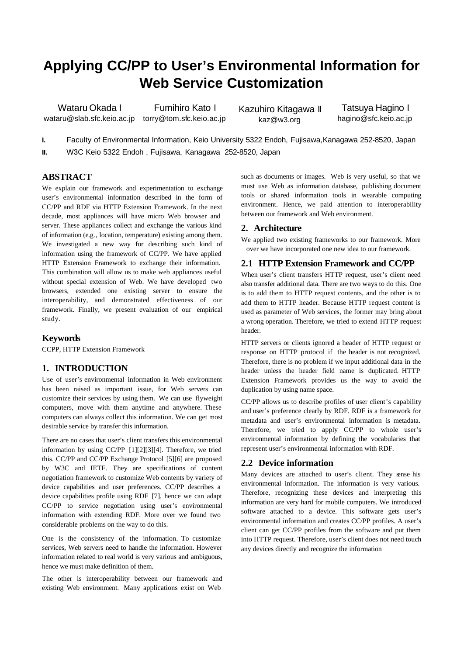# **Applying CC/PP to User's Environmental Information for Web Service Customization**

Wataru Okada I wataru@slab.sfc.keio.ac.jp torry@tom.sfc.keio.ac.jp

Fumihiro Kato I

Kazuhiro Kitagawa II kaz@w3.org

Tatsuya Hagino I hagino@sfc.keio.ac.jp

**I.** Faculty of Environmental Information, Keio University 5322 Endoh, Fujisawa,Kanagawa 252-8520, Japan

**II.** W3C Keio 5322 Endoh , Fujisawa, Kanagawa 252-8520, Japan

## **ABSTRACT**

We explain our framework and experimentation to exchange user's environmental information described in the form of CC/PP and RDF via HTTP Extension Framework. In the next decade, most appliances will have micro Web browser and server. These appliances collect and exchange the various kind of information (e.g., location, temperature) existing among them. We investigated a new way for describing such kind of information using the framework of CC/PP. We have applied HTTP Extension Framework to exchange their information. This combination will allow us to make web appliances useful without special extension of Web. We have developed two browsers, extended one existing server to ensure the interoperability, and demonstrated effectiveness of our framework. Finally, we present evaluation of our empirical study.

### **Keywords**

CCPP, HTTP Extension Framework

## **1. INTRODUCTION**

Use of user's environmental information in Web environment has been raised as important issue, for Web servers can customize their services by using them. We can use flyweight computers, move with them anytime and anywhere. These computers can always collect this information. We can get most desirable service by transfer this information.

There are no cases that user's client transfers this environmental information by using CC/PP [1][2][3][4]. Therefore, we tried this. CC/PP and CC/PP Exchange Protocol [5][6] are proposed by W3C and IETF. They are specifications of content negotiation framework to customize Web contents by variety of device capabilities and user preferences. CC/PP describes a device capabilities profile using RDF [7], hence we can adapt CC/PP to service negotiation using user's environmental information with extending RDF. More over we found two considerable problems on the way to do this.

One is the consistency of the information. To customize services, Web servers need to handle the information. However information related to real world is very various and ambiguous, hence we must make definition of them.

The other is interoperability between our framework and existing Web environment. Many applications exist on Web

such as documents or images. Web is very useful, so that we must use Web as information database, publishing document tools or shared information tools in wearable computing environment. Hence, we paid attention to interoperability between our framework and Web environment.

#### **2. Architecture**

We applied two existing frameworks to our framework. More over we have incorporated one new idea to our framework.

### **2.1 HTTP Extension Framework and CC/PP**

When user's client transfers HTTP request, user's client need also transfer additional data. There are two ways to do this. One is to add them to HTTP request contents, and the other is to add them to HTTP header. Because HTTP request content is used as parameter of Web services, the former may bring about a wrong operation. Therefore, we tried to extend HTTP request header.

HTTP servers or clients ignored a header of HTTP request or response on HTTP protocol if the header is not recognized. Therefore, there is no problem if we input additional data in the header unless the header field name is duplicated. HTTP Extension Framework provides us the way to avoid the duplication by using name space.

CC/PP allows us to describe profiles of user client's capability and user's preference clearly by RDF. RDF is a framework for metadata and user's environmental information is metadata. Therefore, we tried to apply CC/PP to whole user's environmental information by defining the vocabularies that represent user's environmental information with RDF.

### **2.2 Device information**

Many devices are attached to user's client. They gense his environmental information. The information is very various. Therefore, recognizing these devices and interpreting this information are very hard for mobile computers. We introduced software attached to a device. This software gets user's environmental information and creates CC/PP profiles. A user's client can get CC/PP profiles from the software and put them into HTTP request. Therefore, user's client does not need touch any devices directly and recognize the information